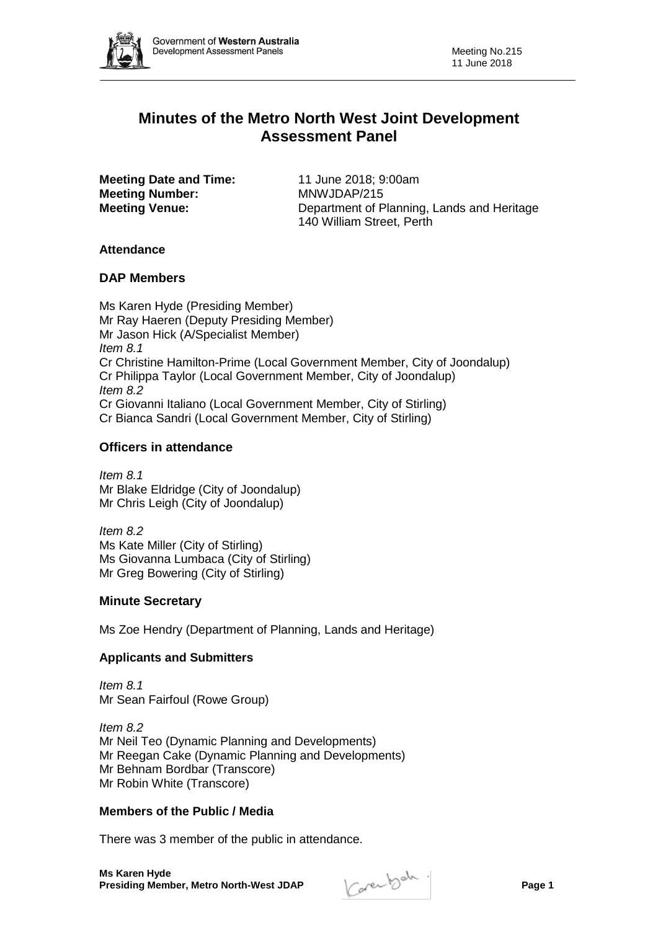

# **Minutes of the Metro North West Joint Development Assessment Panel**

**Meeting Date and Time:** 11 June 2018: 9:00am **Meeting Number:** MNWJDAP/215

**Meeting Venue:** Department of Planning, Lands and Heritage 140 William Street, Perth

# **Attendance**

# **DAP Members**

Ms Karen Hyde (Presiding Member) Mr Ray Haeren (Deputy Presiding Member) Mr Jason Hick (A/Specialist Member) *Item 8.1* Cr Christine Hamilton-Prime (Local Government Member, City of Joondalup) Cr Philippa Taylor (Local Government Member, City of Joondalup) *Item 8.2* Cr Giovanni Italiano (Local Government Member, City of Stirling) Cr Bianca Sandri (Local Government Member, City of Stirling)

# **Officers in attendance**

*Item 8.1* Mr Blake Eldridge (City of Joondalup) Mr Chris Leigh (City of Joondalup)

*Item 8.2* Ms Kate Miller (City of Stirling) Ms Giovanna Lumbaca (City of Stirling) Mr Greg Bowering (City of Stirling)

# **Minute Secretary**

Ms Zoe Hendry (Department of Planning, Lands and Heritage)

# **Applicants and Submitters**

*Item 8.1* Mr Sean Fairfoul (Rowe Group)

*Item 8.2* Mr Neil Teo (Dynamic Planning and Developments) Mr Reegan Cake (Dynamic Planning and Developments) Mr Behnam Bordbar (Transcore) Mr Robin White (Transcore)

# **Members of the Public / Media**

There was 3 member of the public in attendance.

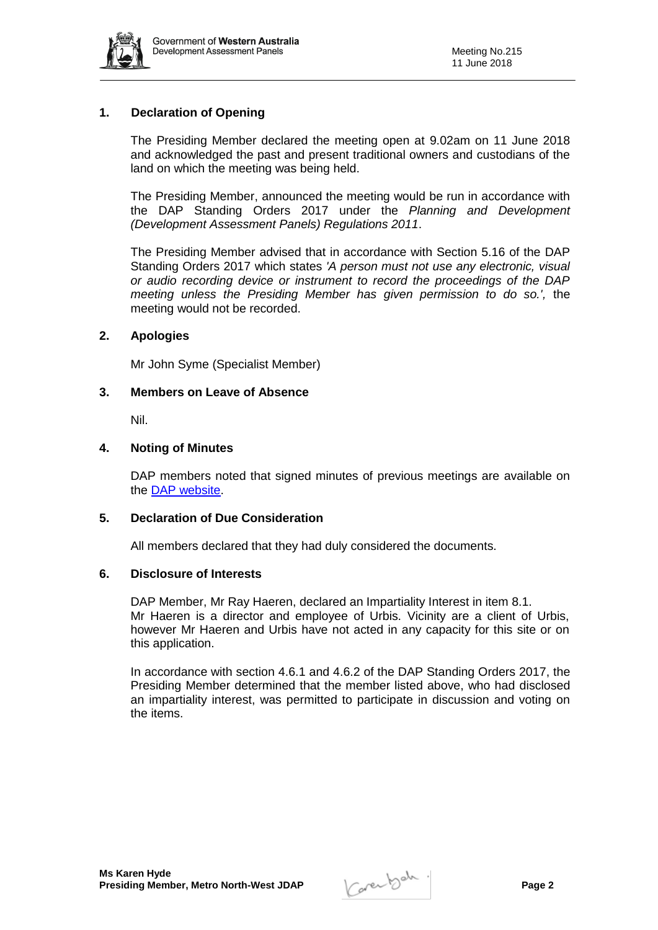

# **1. Declaration of Opening**

The Presiding Member declared the meeting open at 9.02am on 11 June 2018 and acknowledged the past and present traditional owners and custodians of the land on which the meeting was being held.

The Presiding Member, announced the meeting would be run in accordance with the DAP Standing Orders 2017 under the *Planning and Development (Development Assessment Panels) Regulations 2011*.

The Presiding Member advised that in accordance with Section 5.16 of the DAP Standing Orders 2017 which states *'A person must not use any electronic, visual or audio recording device or instrument to record the proceedings of the DAP meeting unless the Presiding Member has given permission to do so.',* the meeting would not be recorded.

# **2. Apologies**

Mr John Syme (Specialist Member)

# **3. Members on Leave of Absence**

Nil.

# **4. Noting of Minutes**

DAP members noted that signed minutes of previous meetings are available on the [DAP website.](https://www.planning.wa.gov.au/7578.aspx)

# **5. Declaration of Due Consideration**

All members declared that they had duly considered the documents.

#### **6. Disclosure of Interests**

DAP Member, Mr Ray Haeren, declared an Impartiality Interest in item 8.1. Mr Haeren is a director and employee of Urbis. Vicinity are a client of Urbis, however Mr Haeren and Urbis have not acted in any capacity for this site or on this application.

In accordance with section 4.6.1 and 4.6.2 of the DAP Standing Orders 2017, the Presiding Member determined that the member listed above, who had disclosed an impartiality interest, was permitted to participate in discussion and voting on the items.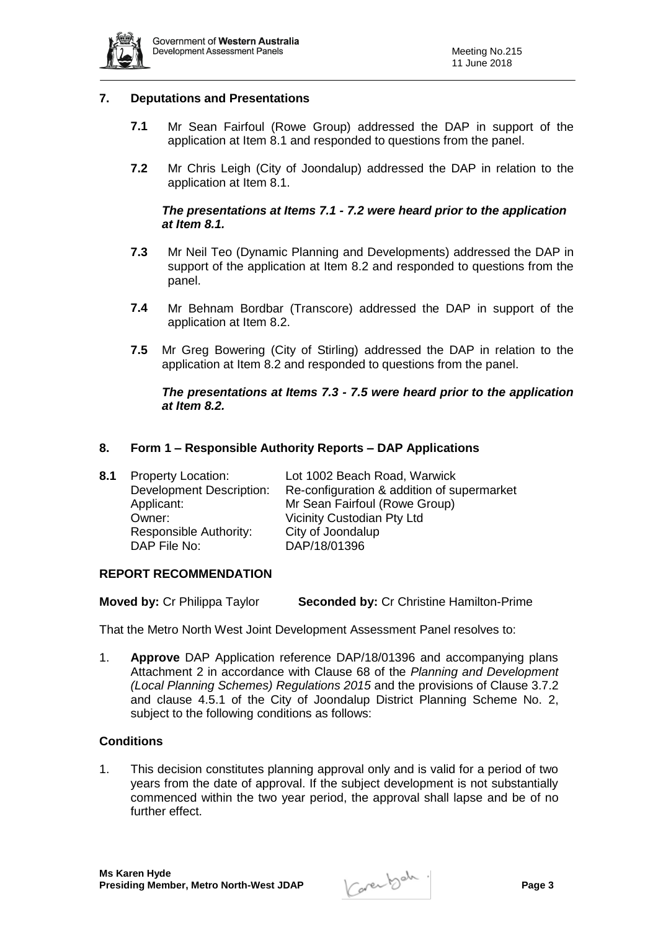

# **7. Deputations and Presentations**

- **7.1** Mr Sean Fairfoul (Rowe Group) addressed the DAP in support of the application at Item 8.1 and responded to questions from the panel.
- **7.2** Mr Chris Leigh (City of Joondalup) addressed the DAP in relation to the application at Item 8.1.

# *The presentations at Items 7.1 - 7.2 were heard prior to the application at Item 8.1.*

- **7.3** Mr Neil Teo (Dynamic Planning and Developments) addressed the DAP in support of the application at Item 8.2 and responded to questions from the panel.
- **7.4** Mr Behnam Bordbar (Transcore) addressed the DAP in support of the application at Item 8.2.
- **7.5** Mr Greg Bowering (City of Stirling) addressed the DAP in relation to the application at Item 8.2 and responded to questions from the panel.

# *The presentations at Items 7.3 - 7.5 were heard prior to the application at Item 8.2.*

# **8. Form 1 – Responsible Authority Reports – DAP Applications**

| Re-configuration & addition of supermarket |
|--------------------------------------------|
|                                            |
|                                            |
|                                            |
|                                            |
|                                            |

#### **REPORT RECOMMENDATION**

**Moved by:** Cr Philippa Taylor **Seconded by:** Cr Christine Hamilton-Prime

That the Metro North West Joint Development Assessment Panel resolves to:

1. **Approve** DAP Application reference DAP/18/01396 and accompanying plans Attachment 2 in accordance with Clause 68 of the *Planning and Development (Local Planning Schemes) Regulations 2015* and the provisions of Clause 3.7.2 and clause 4.5.1 of the City of Joondalup District Planning Scheme No. 2, subject to the following conditions as follows:

#### **Conditions**

1. This decision constitutes planning approval only and is valid for a period of two years from the date of approval. If the subject development is not substantially commenced within the two year period, the approval shall lapse and be of no further effect.

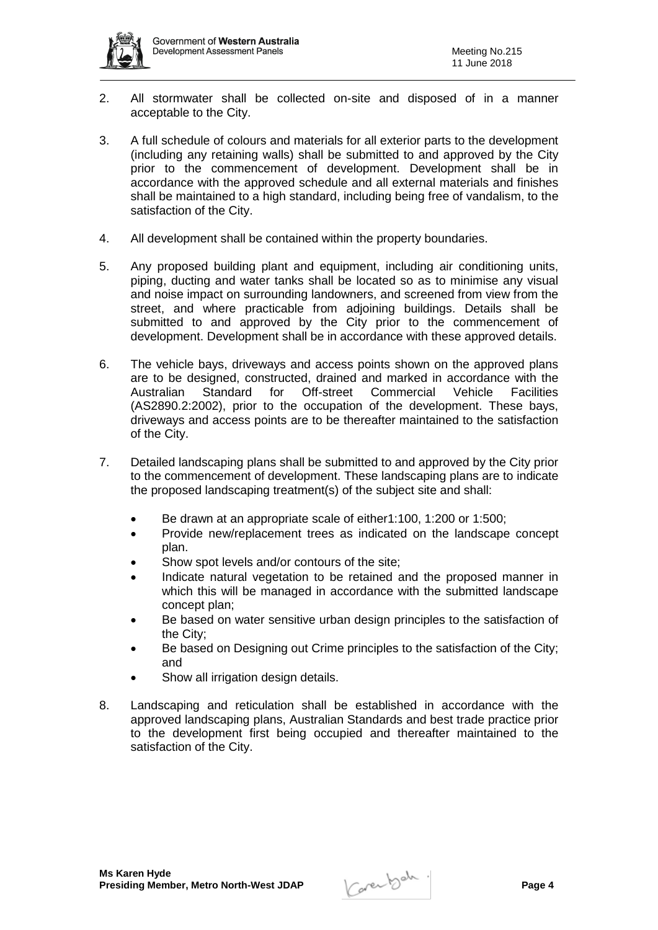

- 2. All stormwater shall be collected on-site and disposed of in a manner acceptable to the City.
- 3. A full schedule of colours and materials for all exterior parts to the development (including any retaining walls) shall be submitted to and approved by the City prior to the commencement of development. Development shall be in accordance with the approved schedule and all external materials and finishes shall be maintained to a high standard, including being free of vandalism, to the satisfaction of the City.
- 4. All development shall be contained within the property boundaries.
- 5. Any proposed building plant and equipment, including air conditioning units, piping, ducting and water tanks shall be located so as to minimise any visual and noise impact on surrounding landowners, and screened from view from the street, and where practicable from adjoining buildings. Details shall be submitted to and approved by the City prior to the commencement of development. Development shall be in accordance with these approved details.
- 6. The vehicle bays, driveways and access points shown on the approved plans are to be designed, constructed, drained and marked in accordance with the Australian Standard for Off-street Commercial Vehicle Facilities (AS2890.2:2002), prior to the occupation of the development. These bays, driveways and access points are to be thereafter maintained to the satisfaction of the City.
- 7. Detailed landscaping plans shall be submitted to and approved by the City prior to the commencement of development. These landscaping plans are to indicate the proposed landscaping treatment(s) of the subject site and shall:
	- Be drawn at an appropriate scale of either1:100, 1:200 or 1:500;
	- Provide new/replacement trees as indicated on the landscape concept plan.
	- Show spot levels and/or contours of the site;
	- Indicate natural vegetation to be retained and the proposed manner in which this will be managed in accordance with the submitted landscape concept plan;
	- Be based on water sensitive urban design principles to the satisfaction of the City;
	- Be based on Designing out Crime principles to the satisfaction of the City; and
	- Show all irrigation design details.
- 8. Landscaping and reticulation shall be established in accordance with the approved landscaping plans, Australian Standards and best trade practice prior to the development first being occupied and thereafter maintained to the satisfaction of the City.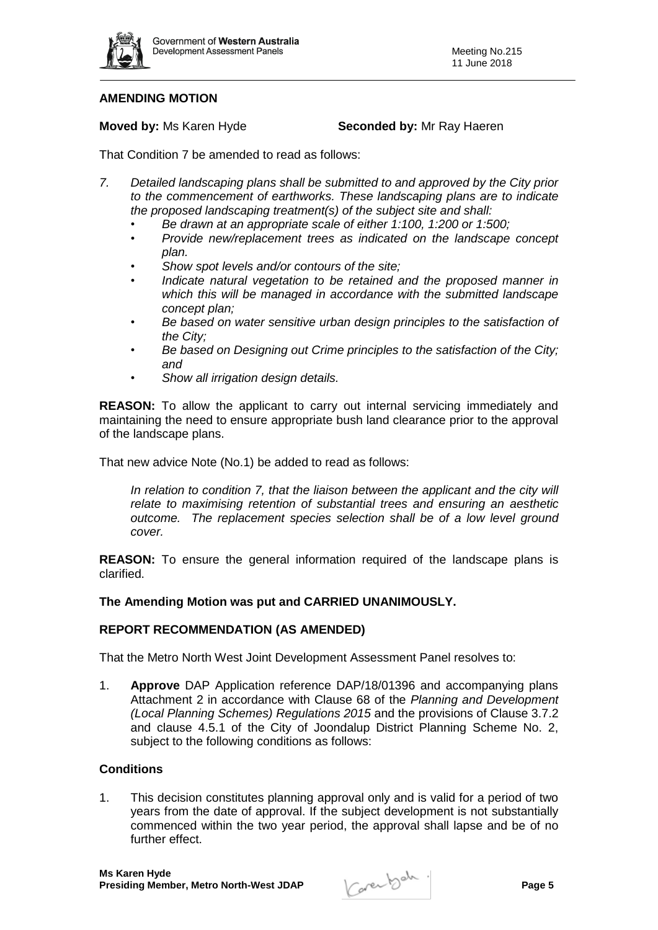

# **AMENDING MOTION**

**Moved by:** Ms Karen Hyde **Seconded by:** Mr Ray Haeren

That Condition 7 be amended to read as follows:

- *7. Detailed landscaping plans shall be submitted to and approved by the City prior to the commencement of earthworks. These landscaping plans are to indicate the proposed landscaping treatment(s) of the subject site and shall:*
	- *Be drawn at an appropriate scale of either 1:100, 1:200 or 1:500;*
	- *Provide new/replacement trees as indicated on the landscape concept plan.*
	- *Show spot levels and/or contours of the site;*
	- *Indicate natural vegetation to be retained and the proposed manner in which this will be managed in accordance with the submitted landscape concept plan;*
	- **Be based on water sensitive urban design principles to the satisfaction of** *the City;*
	- *Be based on Designing out Crime principles to the satisfaction of the City; and*
	- *Show all irrigation design details.*

**REASON:** To allow the applicant to carry out internal servicing immediately and maintaining the need to ensure appropriate bush land clearance prior to the approval of the landscape plans.

That new advice Note (No.1) be added to read as follows:

*In relation to condition 7, that the liaison between the applicant and the city will relate to maximising retention of substantial trees and ensuring an aesthetic outcome. The replacement species selection shall be of a low level ground cover.*

**REASON:** To ensure the general information required of the landscape plans is clarified.

#### **The Amending Motion was put and CARRIED UNANIMOUSLY.**

#### **REPORT RECOMMENDATION (AS AMENDED)**

That the Metro North West Joint Development Assessment Panel resolves to:

1. **Approve** DAP Application reference DAP/18/01396 and accompanying plans Attachment 2 in accordance with Clause 68 of the *Planning and Development (Local Planning Schemes) Regulations 2015* and the provisions of Clause 3.7.2 and clause 4.5.1 of the City of Joondalup District Planning Scheme No. 2, subject to the following conditions as follows:

#### **Conditions**

1. This decision constitutes planning approval only and is valid for a period of two years from the date of approval. If the subject development is not substantially commenced within the two year period, the approval shall lapse and be of no further effect.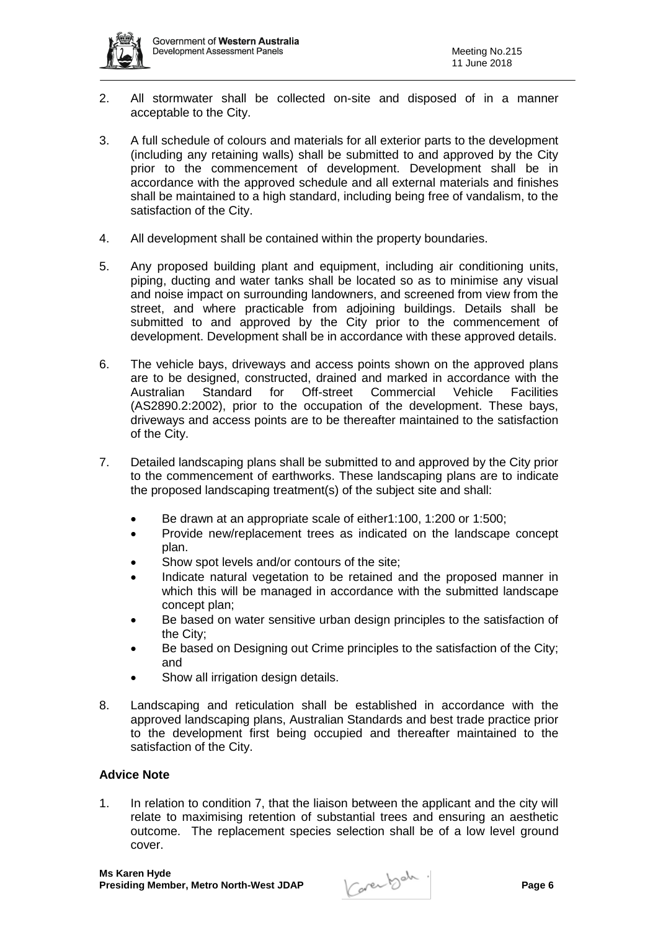

- 2. All stormwater shall be collected on-site and disposed of in a manner acceptable to the City.
- 3. A full schedule of colours and materials for all exterior parts to the development (including any retaining walls) shall be submitted to and approved by the City prior to the commencement of development. Development shall be in accordance with the approved schedule and all external materials and finishes shall be maintained to a high standard, including being free of vandalism, to the satisfaction of the City.
- 4. All development shall be contained within the property boundaries.
- 5. Any proposed building plant and equipment, including air conditioning units, piping, ducting and water tanks shall be located so as to minimise any visual and noise impact on surrounding landowners, and screened from view from the street, and where practicable from adjoining buildings. Details shall be submitted to and approved by the City prior to the commencement of development. Development shall be in accordance with these approved details.
- 6. The vehicle bays, driveways and access points shown on the approved plans are to be designed, constructed, drained and marked in accordance with the Australian Standard for Off-street Commercial Vehicle Facilities (AS2890.2:2002), prior to the occupation of the development. These bays, driveways and access points are to be thereafter maintained to the satisfaction of the City.
- 7. Detailed landscaping plans shall be submitted to and approved by the City prior to the commencement of earthworks. These landscaping plans are to indicate the proposed landscaping treatment(s) of the subject site and shall:
	- Be drawn at an appropriate scale of either1:100, 1:200 or 1:500;
	- Provide new/replacement trees as indicated on the landscape concept plan.
	- Show spot levels and/or contours of the site;
	- Indicate natural vegetation to be retained and the proposed manner in which this will be managed in accordance with the submitted landscape concept plan;
	- Be based on water sensitive urban design principles to the satisfaction of the City;
	- Be based on Designing out Crime principles to the satisfaction of the City; and
	- Show all irrigation design details.
- 8. Landscaping and reticulation shall be established in accordance with the approved landscaping plans, Australian Standards and best trade practice prior to the development first being occupied and thereafter maintained to the satisfaction of the City.

# **Advice Note**

1. In relation to condition 7, that the liaison between the applicant and the city will relate to maximising retention of substantial trees and ensuring an aesthetic outcome. The replacement species selection shall be of a low level ground cover.

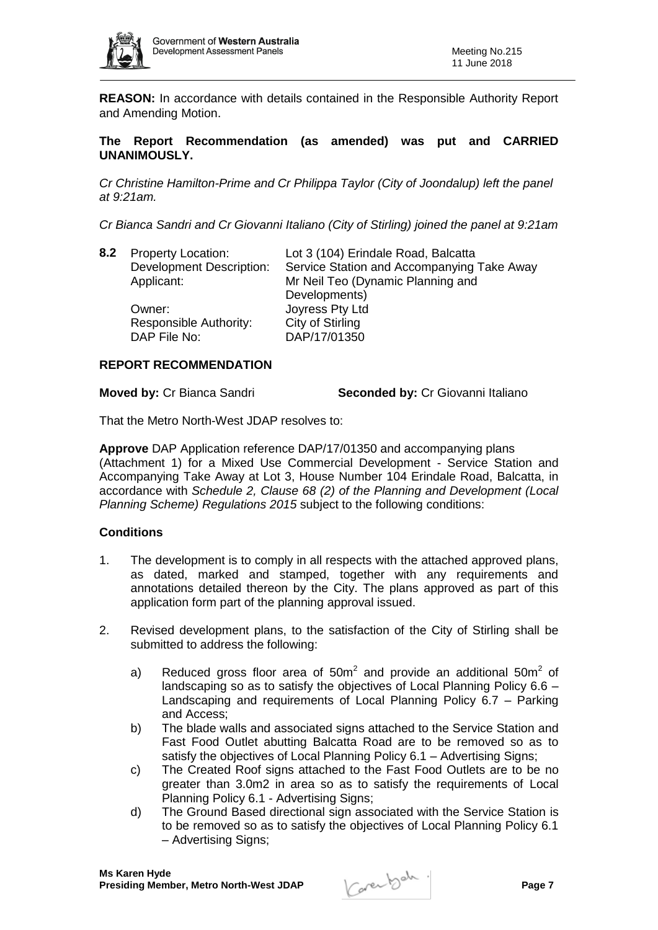

**REASON:** In accordance with details contained in the Responsible Authority Report and Amending Motion.

# **The Report Recommendation (as amended) was put and CARRIED UNANIMOUSLY.**

*Cr Christine Hamilton-Prime and Cr Philippa Taylor (City of Joondalup) left the panel at 9:21am.*

*Cr Bianca Sandri and Cr Giovanni Italiano (City of Stirling) joined the panel at 9:21am*

| 8.2 | <b>Property Location:</b>       | Lot 3 (104) Erindale Road, Balcatta        |
|-----|---------------------------------|--------------------------------------------|
|     | <b>Development Description:</b> | Service Station and Accompanying Take Away |
|     | Applicant:                      | Mr Neil Teo (Dynamic Planning and          |
|     |                                 | Developments)                              |
|     | Owner:                          | Joyress Pty Ltd                            |
|     | Responsible Authority:          | City of Stirling                           |
|     | DAP File No:                    | DAP/17/01350                               |
|     |                                 |                                            |

# **REPORT RECOMMENDATION**

**Moved by: Cr Bianca Sandri <b>Seconded by: Cr Giovanni Italiano** 

That the Metro North-West JDAP resolves to:

**Approve** DAP Application reference DAP/17/01350 and accompanying plans (Attachment 1) for a Mixed Use Commercial Development - Service Station and Accompanying Take Away at Lot 3, House Number 104 Erindale Road, Balcatta, in accordance with *Schedule 2, Clause 68 (2) of the Planning and Development (Local Planning Scheme) Regulations 2015* subject to the following conditions:

#### **Conditions**

- 1. The development is to comply in all respects with the attached approved plans, as dated, marked and stamped, together with any requirements and annotations detailed thereon by the City. The plans approved as part of this application form part of the planning approval issued.
- 2. Revised development plans, to the satisfaction of the City of Stirling shall be submitted to address the following:
	- a) Reduced gross floor area of 50m<sup>2</sup> and provide an additional 50m<sup>2</sup> of landscaping so as to satisfy the objectives of Local Planning Policy 6.6 – Landscaping and requirements of Local Planning Policy 6.7 – Parking and Access;
	- b) The blade walls and associated signs attached to the Service Station and Fast Food Outlet abutting Balcatta Road are to be removed so as to satisfy the objectives of Local Planning Policy 6.1 – Advertising Signs;
	- c) The Created Roof signs attached to the Fast Food Outlets are to be no greater than 3.0m2 in area so as to satisfy the requirements of Local Planning Policy 6.1 - Advertising Signs;
	- d) The Ground Based directional sign associated with the Service Station is to be removed so as to satisfy the objectives of Local Planning Policy 6.1 – Advertising Signs;

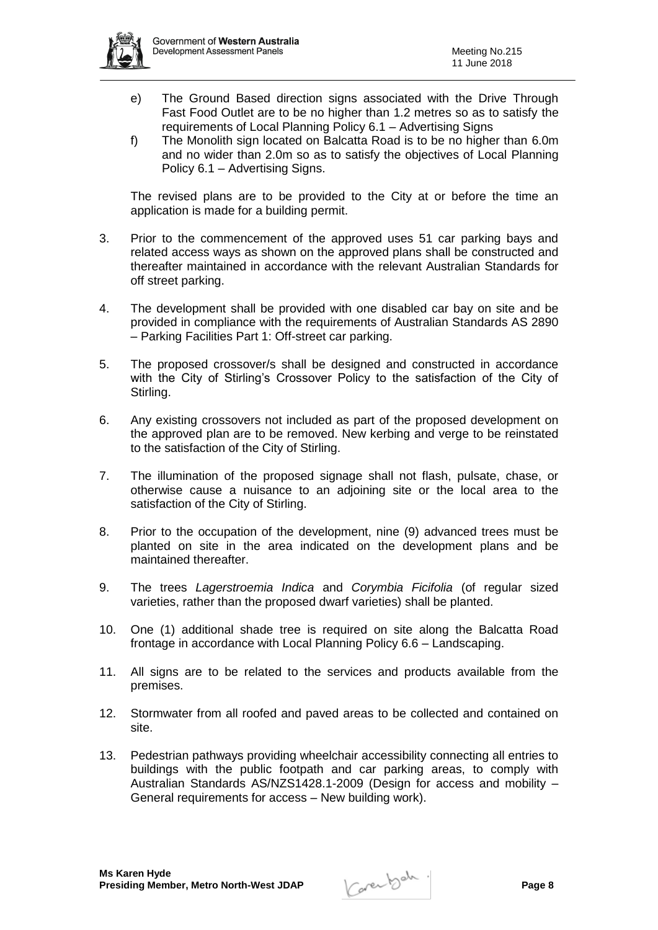

- e) The Ground Based direction signs associated with the Drive Through Fast Food Outlet are to be no higher than 1.2 metres so as to satisfy the requirements of Local Planning Policy 6.1 – Advertising Signs
- f) The Monolith sign located on Balcatta Road is to be no higher than 6.0m and no wider than 2.0m so as to satisfy the objectives of Local Planning Policy 6.1 – Advertising Signs.

The revised plans are to be provided to the City at or before the time an application is made for a building permit.

- 3. Prior to the commencement of the approved uses 51 car parking bays and related access ways as shown on the approved plans shall be constructed and thereafter maintained in accordance with the relevant Australian Standards for off street parking.
- 4. The development shall be provided with one disabled car bay on site and be provided in compliance with the requirements of Australian Standards AS 2890 – Parking Facilities Part 1: Off-street car parking.
- 5. The proposed crossover/s shall be designed and constructed in accordance with the City of Stirling's Crossover Policy to the satisfaction of the City of Stirling.
- 6. Any existing crossovers not included as part of the proposed development on the approved plan are to be removed. New kerbing and verge to be reinstated to the satisfaction of the City of Stirling.
- 7. The illumination of the proposed signage shall not flash, pulsate, chase, or otherwise cause a nuisance to an adjoining site or the local area to the satisfaction of the City of Stirling.
- 8. Prior to the occupation of the development, nine (9) advanced trees must be planted on site in the area indicated on the development plans and be maintained thereafter.
- 9. The trees *Lagerstroemia Indica* and *Corymbia Ficifolia* (of regular sized varieties, rather than the proposed dwarf varieties) shall be planted.
- 10. One (1) additional shade tree is required on site along the Balcatta Road frontage in accordance with Local Planning Policy 6.6 – Landscaping.
- 11. All signs are to be related to the services and products available from the premises.
- 12. Stormwater from all roofed and paved areas to be collected and contained on site.
- 13. Pedestrian pathways providing wheelchair accessibility connecting all entries to buildings with the public footpath and car parking areas, to comply with Australian Standards AS/NZS1428.1-2009 (Design for access and mobility – General requirements for access – New building work).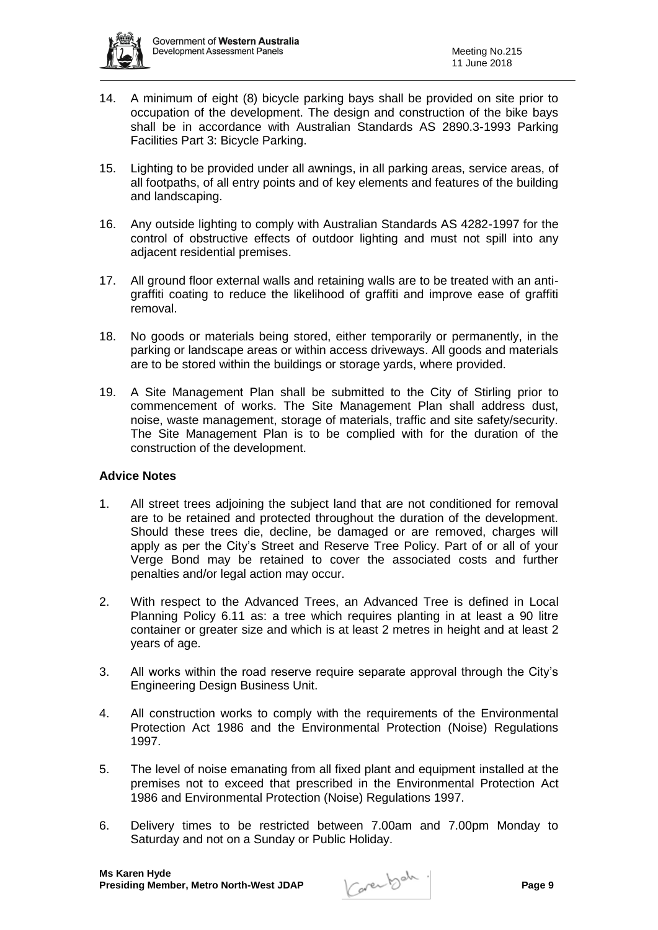

- 14. A minimum of eight (8) bicycle parking bays shall be provided on site prior to occupation of the development. The design and construction of the bike bays shall be in accordance with Australian Standards AS 2890.3-1993 Parking Facilities Part 3: Bicycle Parking.
- 15. Lighting to be provided under all awnings, in all parking areas, service areas, of all footpaths, of all entry points and of key elements and features of the building and landscaping.
- 16. Any outside lighting to comply with Australian Standards AS 4282-1997 for the control of obstructive effects of outdoor lighting and must not spill into any adjacent residential premises.
- 17. All ground floor external walls and retaining walls are to be treated with an antigraffiti coating to reduce the likelihood of graffiti and improve ease of graffiti removal.
- 18. No goods or materials being stored, either temporarily or permanently, in the parking or landscape areas or within access driveways. All goods and materials are to be stored within the buildings or storage yards, where provided.
- 19. A Site Management Plan shall be submitted to the City of Stirling prior to commencement of works. The Site Management Plan shall address dust, noise, waste management, storage of materials, traffic and site safety/security. The Site Management Plan is to be complied with for the duration of the construction of the development.

# **Advice Notes**

- 1. All street trees adjoining the subject land that are not conditioned for removal are to be retained and protected throughout the duration of the development. Should these trees die, decline, be damaged or are removed, charges will apply as per the City's Street and Reserve Tree Policy. Part of or all of your Verge Bond may be retained to cover the associated costs and further penalties and/or legal action may occur.
- 2. With respect to the Advanced Trees, an Advanced Tree is defined in Local Planning Policy 6.11 as: a tree which requires planting in at least a 90 litre container or greater size and which is at least 2 metres in height and at least 2 years of age.
- 3. All works within the road reserve require separate approval through the City's Engineering Design Business Unit.
- 4. All construction works to comply with the requirements of the Environmental Protection Act 1986 and the Environmental Protection (Noise) Regulations 1997.
- 5. The level of noise emanating from all fixed plant and equipment installed at the premises not to exceed that prescribed in the Environmental Protection Act 1986 and Environmental Protection (Noise) Regulations 1997.
- 6. Delivery times to be restricted between 7.00am and 7.00pm Monday to Saturday and not on a Sunday or Public Holiday.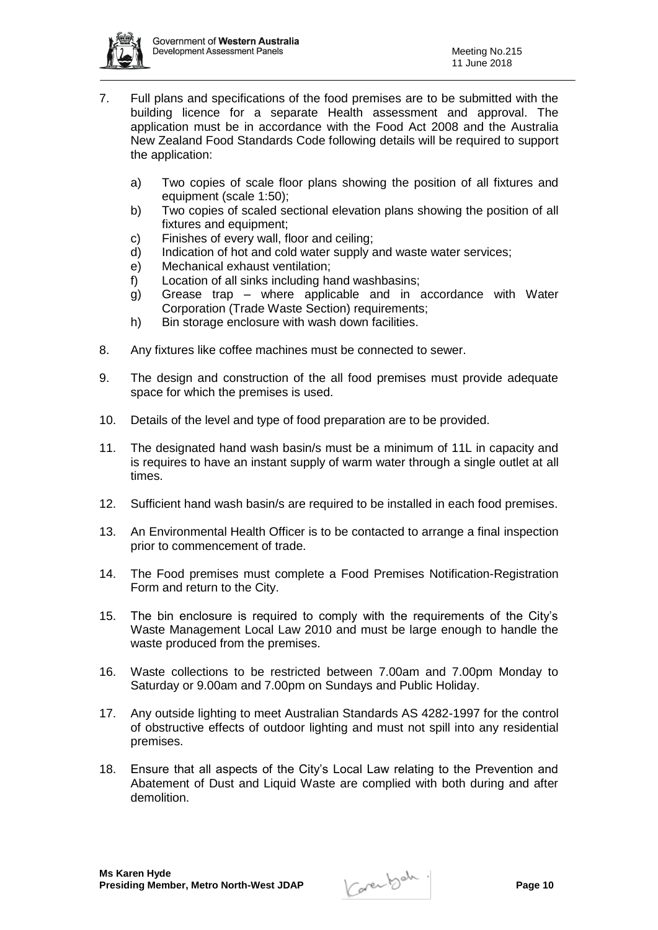

- 7. Full plans and specifications of the food premises are to be submitted with the building licence for a separate Health assessment and approval. The application must be in accordance with the Food Act 2008 and the Australia New Zealand Food Standards Code following details will be required to support the application:
	- a) Two copies of scale floor plans showing the position of all fixtures and equipment (scale 1:50);
	- b) Two copies of scaled sectional elevation plans showing the position of all fixtures and equipment;
	- c) Finishes of every wall, floor and ceiling;
	- d) Indication of hot and cold water supply and waste water services;
	- e) Mechanical exhaust ventilation;
	- f) Location of all sinks including hand washbasins;
	- g) Grease trap where applicable and in accordance with Water Corporation (Trade Waste Section) requirements;
	- h) Bin storage enclosure with wash down facilities.
- 8. Any fixtures like coffee machines must be connected to sewer.
- 9. The design and construction of the all food premises must provide adequate space for which the premises is used.
- 10. Details of the level and type of food preparation are to be provided.
- 11. The designated hand wash basin/s must be a minimum of 11L in capacity and is requires to have an instant supply of warm water through a single outlet at all times.
- 12. Sufficient hand wash basin/s are required to be installed in each food premises.
- 13. An Environmental Health Officer is to be contacted to arrange a final inspection prior to commencement of trade.
- 14. The Food premises must complete a Food Premises Notification-Registration Form and return to the City.
- 15. The bin enclosure is required to comply with the requirements of the City's Waste Management Local Law 2010 and must be large enough to handle the waste produced from the premises.
- 16. Waste collections to be restricted between 7.00am and 7.00pm Monday to Saturday or 9.00am and 7.00pm on Sundays and Public Holiday.
- 17. Any outside lighting to meet Australian Standards AS 4282-1997 for the control of obstructive effects of outdoor lighting and must not spill into any residential premises.
- 18. Ensure that all aspects of the City's Local Law relating to the Prevention and Abatement of Dust and Liquid Waste are complied with both during and after demolition.

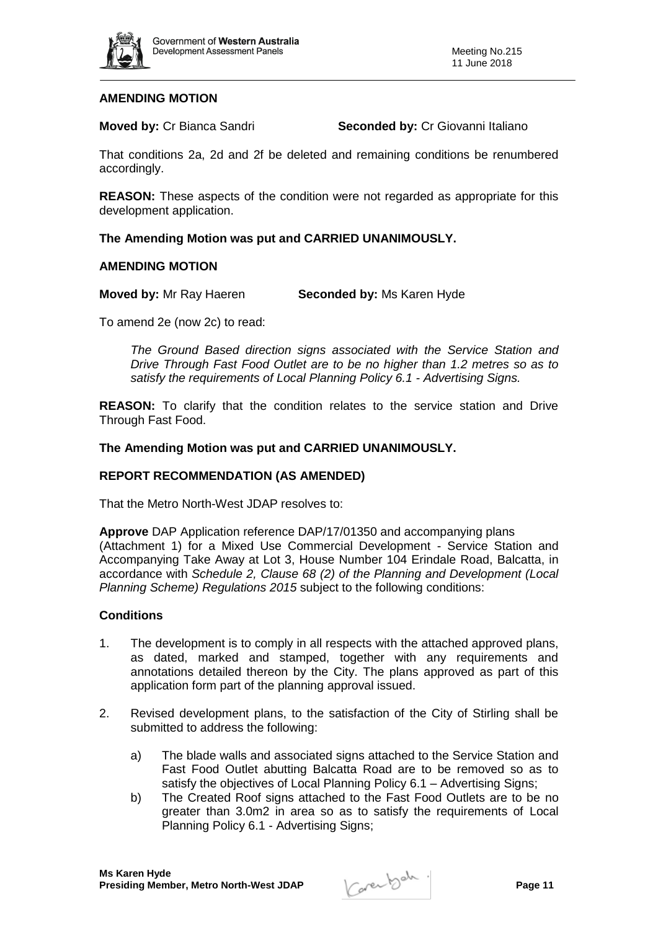

# **AMENDING MOTION**

**Moved by: Cr Bianca Sandri <b>Seconded by: Cr Giovanni Italiano** 

That conditions 2a, 2d and 2f be deleted and remaining conditions be renumbered accordingly.

**REASON:** These aspects of the condition were not regarded as appropriate for this development application.

# **The Amending Motion was put and CARRIED UNANIMOUSLY.**

# **AMENDING MOTION**

**Moved by:** Mr Ray Haeren **Seconded by:** Ms Karen Hyde

To amend 2e (now 2c) to read:

*The Ground Based direction signs associated with the Service Station and Drive Through Fast Food Outlet are to be no higher than 1.2 metres so as to satisfy the requirements of Local Planning Policy 6.1 - Advertising Signs.*

**REASON:** To clarify that the condition relates to the service station and Drive Through Fast Food.

#### **The Amending Motion was put and CARRIED UNANIMOUSLY.**

#### **REPORT RECOMMENDATION (AS AMENDED)**

That the Metro North-West JDAP resolves to:

**Approve** DAP Application reference DAP/17/01350 and accompanying plans (Attachment 1) for a Mixed Use Commercial Development - Service Station and Accompanying Take Away at Lot 3, House Number 104 Erindale Road, Balcatta, in accordance with *Schedule 2, Clause 68 (2) of the Planning and Development (Local Planning Scheme) Regulations 2015* subject to the following conditions:

#### **Conditions**

- 1. The development is to comply in all respects with the attached approved plans, as dated, marked and stamped, together with any requirements and annotations detailed thereon by the City. The plans approved as part of this application form part of the planning approval issued.
- 2. Revised development plans, to the satisfaction of the City of Stirling shall be submitted to address the following:
	- a) The blade walls and associated signs attached to the Service Station and Fast Food Outlet abutting Balcatta Road are to be removed so as to satisfy the objectives of Local Planning Policy 6.1 – Advertising Signs;
	- b) The Created Roof signs attached to the Fast Food Outlets are to be no greater than 3.0m2 in area so as to satisfy the requirements of Local Planning Policy 6.1 - Advertising Signs;

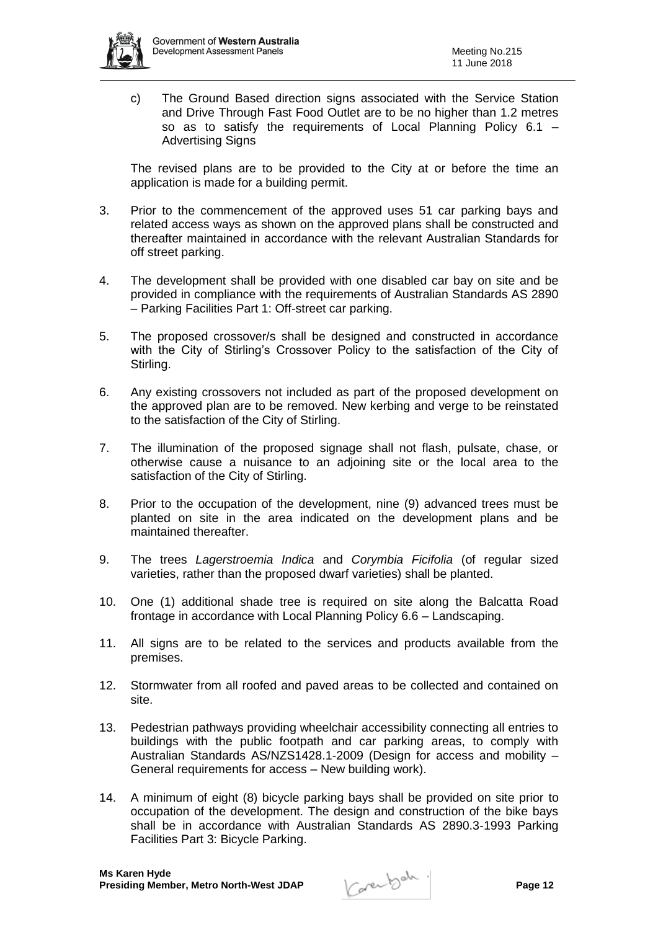

c) The Ground Based direction signs associated with the Service Station and Drive Through Fast Food Outlet are to be no higher than 1.2 metres so as to satisfy the requirements of Local Planning Policy 6.1 – Advertising Signs

The revised plans are to be provided to the City at or before the time an application is made for a building permit.

- 3. Prior to the commencement of the approved uses 51 car parking bays and related access ways as shown on the approved plans shall be constructed and thereafter maintained in accordance with the relevant Australian Standards for off street parking.
- 4. The development shall be provided with one disabled car bay on site and be provided in compliance with the requirements of Australian Standards AS 2890 – Parking Facilities Part 1: Off-street car parking.
- 5. The proposed crossover/s shall be designed and constructed in accordance with the City of Stirling's Crossover Policy to the satisfaction of the City of Stirling.
- 6. Any existing crossovers not included as part of the proposed development on the approved plan are to be removed. New kerbing and verge to be reinstated to the satisfaction of the City of Stirling.
- 7. The illumination of the proposed signage shall not flash, pulsate, chase, or otherwise cause a nuisance to an adjoining site or the local area to the satisfaction of the City of Stirling.
- 8. Prior to the occupation of the development, nine (9) advanced trees must be planted on site in the area indicated on the development plans and be maintained thereafter.
- 9. The trees *Lagerstroemia Indica* and *Corymbia Ficifolia* (of regular sized varieties, rather than the proposed dwarf varieties) shall be planted.
- 10. One (1) additional shade tree is required on site along the Balcatta Road frontage in accordance with Local Planning Policy 6.6 – Landscaping.
- 11. All signs are to be related to the services and products available from the premises.
- 12. Stormwater from all roofed and paved areas to be collected and contained on site.
- 13. Pedestrian pathways providing wheelchair accessibility connecting all entries to buildings with the public footpath and car parking areas, to comply with Australian Standards AS/NZS1428.1-2009 (Design for access and mobility – General requirements for access – New building work).
- 14. A minimum of eight (8) bicycle parking bays shall be provided on site prior to occupation of the development. The design and construction of the bike bays shall be in accordance with Australian Standards AS 2890.3-1993 Parking Facilities Part 3: Bicycle Parking.

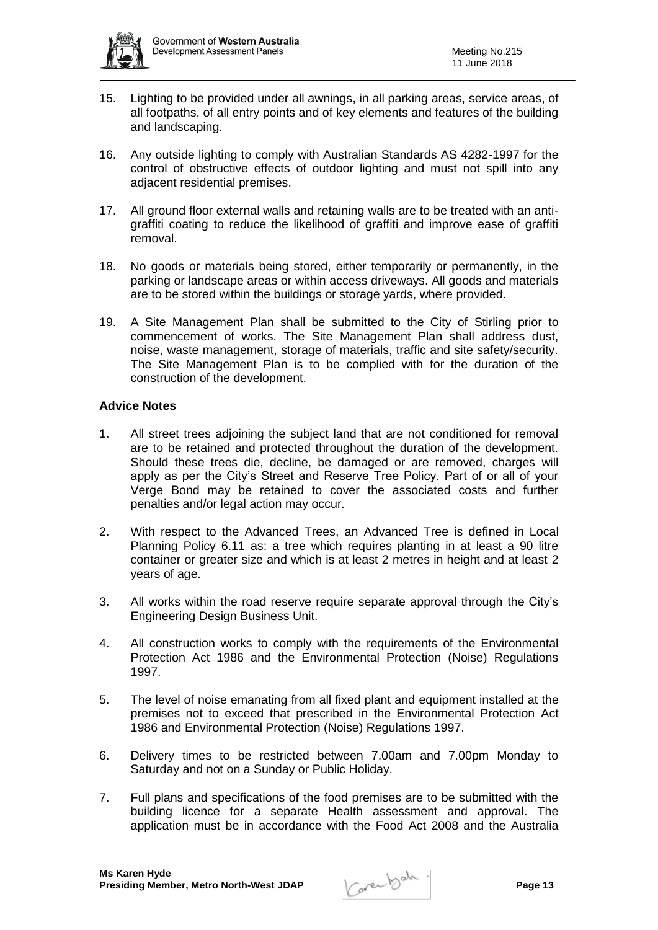

- 15. Lighting to be provided under all awnings, in all parking areas, service areas, of all footpaths, of all entry points and of key elements and features of the building and landscaping.
- 16. Any outside lighting to comply with Australian Standards AS 4282-1997 for the control of obstructive effects of outdoor lighting and must not spill into any adjacent residential premises.
- 17. All ground floor external walls and retaining walls are to be treated with an antigraffiti coating to reduce the likelihood of graffiti and improve ease of graffiti removal.
- 18. No goods or materials being stored, either temporarily or permanently, in the parking or landscape areas or within access driveways. All goods and materials are to be stored within the buildings or storage yards, where provided.
- 19. A Site Management Plan shall be submitted to the City of Stirling prior to commencement of works. The Site Management Plan shall address dust, noise, waste management, storage of materials, traffic and site safety/security. The Site Management Plan is to be complied with for the duration of the construction of the development.

# **Advice Notes**

- 1. All street trees adjoining the subject land that are not conditioned for removal are to be retained and protected throughout the duration of the development. Should these trees die, decline, be damaged or are removed, charges will apply as per the City's Street and Reserve Tree Policy. Part of or all of your Verge Bond may be retained to cover the associated costs and further penalties and/or legal action may occur.
- 2. With respect to the Advanced Trees, an Advanced Tree is defined in Local Planning Policy 6.11 as: a tree which requires planting in at least a 90 litre container or greater size and which is at least 2 metres in height and at least 2 years of age.
- 3. All works within the road reserve require separate approval through the City's Engineering Design Business Unit.
- 4. All construction works to comply with the requirements of the Environmental Protection Act 1986 and the Environmental Protection (Noise) Regulations 1997.
- 5. The level of noise emanating from all fixed plant and equipment installed at the premises not to exceed that prescribed in the Environmental Protection Act 1986 and Environmental Protection (Noise) Regulations 1997.
- 6. Delivery times to be restricted between 7.00am and 7.00pm Monday to Saturday and not on a Sunday or Public Holiday.
- 7. Full plans and specifications of the food premises are to be submitted with the building licence for a separate Health assessment and approval. The application must be in accordance with the Food Act 2008 and the Australia

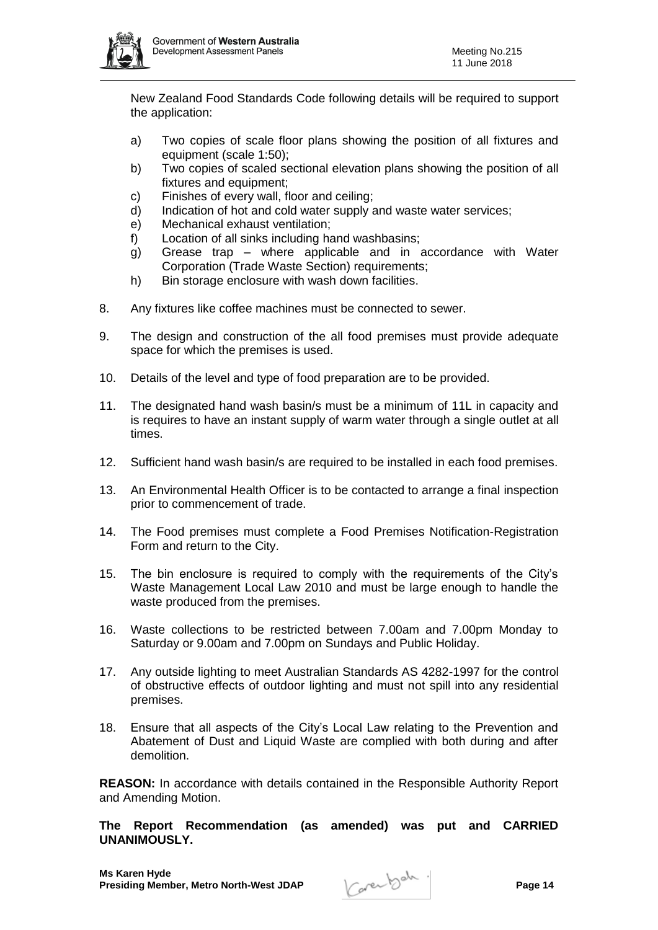

New Zealand Food Standards Code following details will be required to support the application:

- a) Two copies of scale floor plans showing the position of all fixtures and equipment (scale 1:50);
- b) Two copies of scaled sectional elevation plans showing the position of all fixtures and equipment;
- c) Finishes of every wall, floor and ceiling;
- d) Indication of hot and cold water supply and waste water services;
- e) Mechanical exhaust ventilation;
- f) Location of all sinks including hand washbasins;
- g) Grease trap where applicable and in accordance with Water Corporation (Trade Waste Section) requirements;
- h) Bin storage enclosure with wash down facilities.
- 8. Any fixtures like coffee machines must be connected to sewer.
- 9. The design and construction of the all food premises must provide adequate space for which the premises is used.
- 10. Details of the level and type of food preparation are to be provided.
- 11. The designated hand wash basin/s must be a minimum of 11L in capacity and is requires to have an instant supply of warm water through a single outlet at all times.
- 12. Sufficient hand wash basin/s are required to be installed in each food premises.
- 13. An Environmental Health Officer is to be contacted to arrange a final inspection prior to commencement of trade.
- 14. The Food premises must complete a Food Premises Notification-Registration Form and return to the City.
- 15. The bin enclosure is required to comply with the requirements of the City's Waste Management Local Law 2010 and must be large enough to handle the waste produced from the premises.
- 16. Waste collections to be restricted between 7.00am and 7.00pm Monday to Saturday or 9.00am and 7.00pm on Sundays and Public Holiday.
- 17. Any outside lighting to meet Australian Standards AS 4282-1997 for the control of obstructive effects of outdoor lighting and must not spill into any residential premises.
- 18. Ensure that all aspects of the City's Local Law relating to the Prevention and Abatement of Dust and Liquid Waste are complied with both during and after demolition.

**REASON:** In accordance with details contained in the Responsible Authority Report and Amending Motion.

**The Report Recommendation (as amended) was put and CARRIED UNANIMOUSLY.**